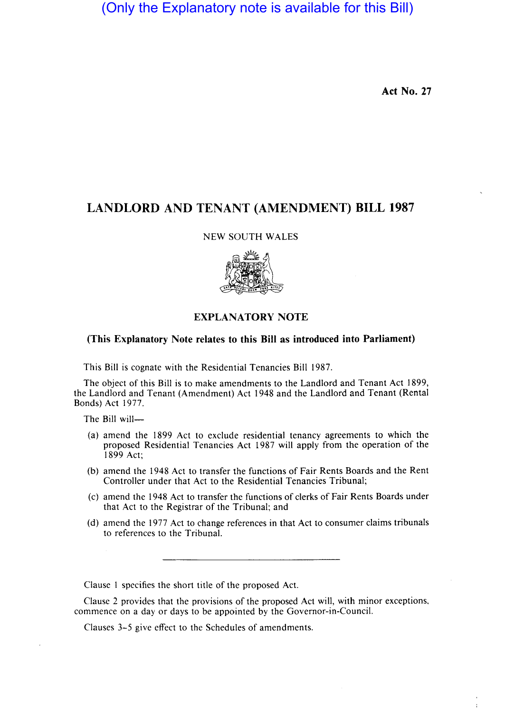(Only the Explanatory note is available for this Bill)

Act No. 27

÷

# LANDLORD AND TENANT (AMENDMENT) BILL 1987

NEW SOUTH WALES



## EXPLANATORY NOTE

### (This Explanatory Note relates to this Bill as introduced into Parliament)

This Bill is cognate with the Residential Tenancies Bill 1987.

The object of this Bill is to make amendments to the Landlord and Tenant Act 1899, the Landlord and Tenant (Amendment) Act 1948 and the Landlord and Tenant (Rental Bonds) Act 1977.

The Bill will-

- (a) amend the 1899 Act to exclude residential tenancy agreements to which the proposed Residential Tenancies Act 1987 will apply from the operation of the 1899 Act;
- (b) amend the 1948 Act to transfer the functions of Fair Rents Boards and the Rent Controller under that Act to the Residential Tenancies Tribunal;
- (c) amend the 1948 Act to transfer the functions of clerks of Fair Rents Boards under that Act to the Registrar of the Tribunal; and
- (d) amend the 1977 Act to change references in that Act to consumer claims tribunals to references to the Tribunal.

Clause 1 specifies the short title of the proposed Act.

Clause 2 provides that the provisions of the proposed Act will, with minor exceptions, commence on a day or days to be appointed by the Governor-in-Council.

Clauses 3-5 give effect to the Schedules of amendments.